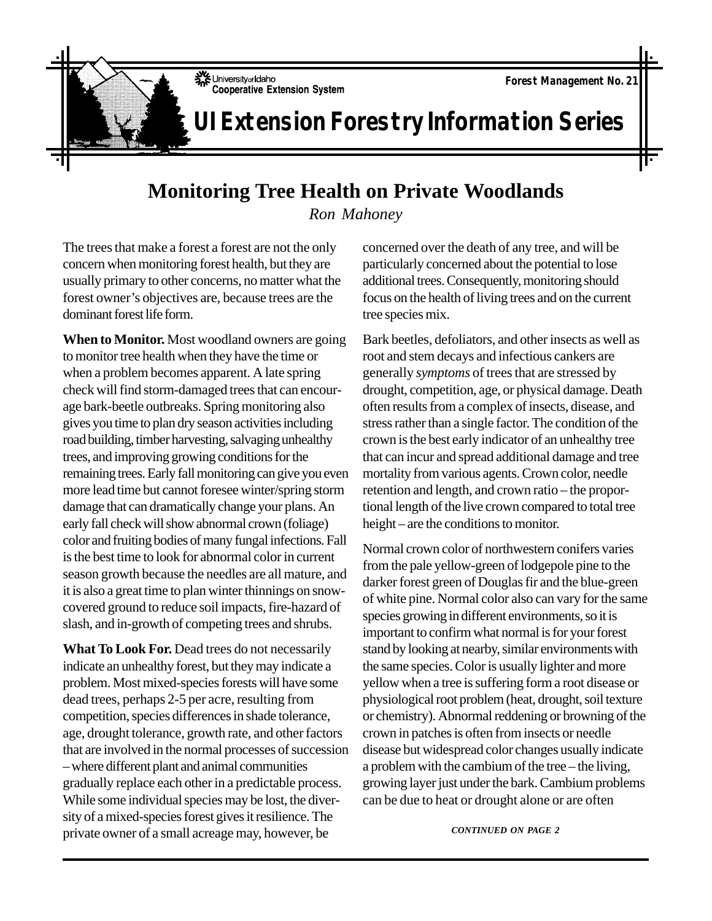University of Idaho **Cooperative Extension System** 

## **UI Extension Forestry Information Series**

## **Monitoring Tree Health on Private Woodlands**

*Ron Mahoney*

The trees that make a forest a forest are not the only concern when monitoring forest health, but they are usually primary to other concerns, no matter what the forest owner's objectives are, because trees are the dominant forest life form.

**When to Monitor.** Most woodland owners are going to monitor tree health when they have the time or when a problem becomes apparent. A late spring check will find storm-damaged trees that can encourage bark-beetle outbreaks. Spring monitoring also gives you time to plan dry season activities including road building, timber harvesting, salvaging unhealthy trees, and improving growing conditions for the remaining trees. Early fall monitoring can give you even more lead time but cannot foresee winter/spring storm damage that can dramatically change your plans. An early fall check will show abnormal crown (foliage) color and fruiting bodies of many fungal infections. Fall is the best time to look for abnormal color in current season growth because the needles are all mature, and it is also a great time to plan winter thinnings on snowcovered ground to reduce soil impacts, fire-hazard of slash, and in-growth of competing trees and shrubs.

**What To Look For.** Dead trees do not necessarily indicate an unhealthy forest, but they may indicate a problem. Most mixed-species forests will have some dead trees, perhaps 2-5 per acre, resulting from competition, species differences in shade tolerance, age, drought tolerance, growth rate, and other factors that are involved in the normal processes of succession – where different plant and animal communities gradually replace each other in a predictable process. While some individual species may be lost, the diversity of a mixed-species forest gives it resilience. The private owner of a small acreage may, however, be

concerned over the death of any tree, and will be particularly concerned about the potential to lose additional trees. Consequently, monitoring should focus on the health of living trees and on the current tree species mix.

Bark beetles, defoliators, and other insects as well as root and stem decays and infectious cankers are generally *symptoms* of trees that are stressed by drought, competition, age, or physical damage. Death often results from a complex of insects, disease, and stress rather than a single factor. The condition of the crown is the best early indicator of an unhealthy tree that can incur and spread additional damage and tree mortality from various agents. Crown color, needle retention and length, and crown ratio – the proportional length of the live crown compared to total tree height – are the conditions to monitor.

Normal crown color of northwestern conifers varies from the pale yellow-green of lodgepole pine to the darker forest green of Douglas fir and the blue-green of white pine. Normal color also can vary for the same species growing in different environments, so it is important to confirm what normal is for your forest stand by looking at nearby, similar environments with the same species. Color is usually lighter and more yellow when a tree is suffering form a root disease or physiological root problem (heat, drought, soil texture or chemistry). Abnormal reddening or browning of the crown in patches is often from insects or needle disease but widespread color changes usually indicate a problem with the cambium of the tree – the living, growing layer just under the bark. Cambium problems can be due to heat or drought alone or are often

*CONTINUED ON PAGE 2*